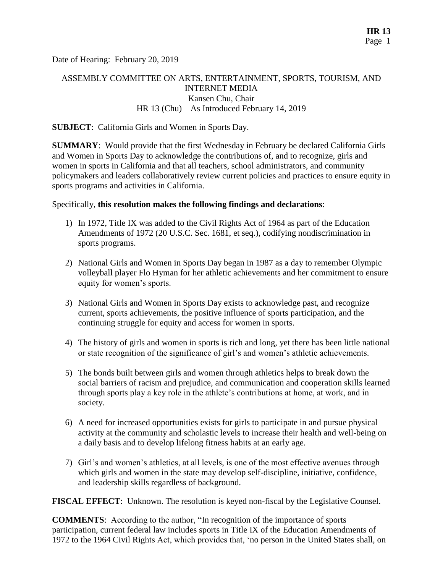Date of Hearing: February 20, 2019

# ASSEMBLY COMMITTEE ON ARTS, ENTERTAINMENT, SPORTS, TOURISM, AND INTERNET MEDIA Kansen Chu, Chair HR 13 (Chu) – As Introduced February 14, 2019

#### **SUBJECT**: California Girls and Women in Sports Day.

**SUMMARY**: Would provide that the first Wednesday in February be declared California Girls and Women in Sports Day to acknowledge the contributions of, and to recognize, girls and women in sports in California and that all teachers, school administrators, and community policymakers and leaders collaboratively review current policies and practices to ensure equity in sports programs and activities in California.

#### Specifically, **this resolution makes the following findings and declarations**:

- 1) In 1972, Title IX was added to the Civil Rights Act of 1964 as part of the Education Amendments of 1972 (20 U.S.C. Sec. 1681, et seq.), codifying nondiscrimination in sports programs.
- 2) National Girls and Women in Sports Day began in 1987 as a day to remember Olympic volleyball player Flo Hyman for her athletic achievements and her commitment to ensure equity for women's sports.
- 3) National Girls and Women in Sports Day exists to acknowledge past, and recognize current, sports achievements, the positive influence of sports participation, and the continuing struggle for equity and access for women in sports.
- 4) The history of girls and women in sports is rich and long, yet there has been little national or state recognition of the significance of girl's and women's athletic achievements.
- 5) The bonds built between girls and women through athletics helps to break down the social barriers of racism and prejudice, and communication and cooperation skills learned through sports play a key role in the athlete's contributions at home, at work, and in society.
- 6) A need for increased opportunities exists for girls to participate in and pursue physical activity at the community and scholastic levels to increase their health and well-being on a daily basis and to develop lifelong fitness habits at an early age.
- 7) Girl's and women's athletics, at all levels, is one of the most effective avenues through which girls and women in the state may develop self-discipline, initiative, confidence, and leadership skills regardless of background.

**FISCAL EFFECT**: Unknown. The resolution is keyed non-fiscal by the Legislative Counsel.

**COMMENTS**: According to the author, "In recognition of the importance of sports participation, current federal law includes sports in Title IX of the Education Amendments of 1972 to the 1964 Civil Rights Act, which provides that, 'no person in the United States shall, on